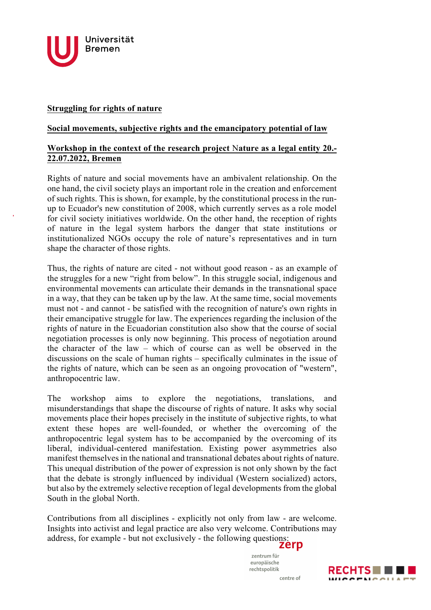

## **Struggling for rights of nature**

## **Social movements, subjective rights and the emancipatory potential of law**

## **Workshop in the context of the research project** N**ature as a legal entity 20.- 22.07.2022, Bremen**

Rights of nature and social movements have an ambivalent relationship. On the one hand, the civil society plays an important role in the creation and enforcement of such rights. This is shown, for example, by the constitutional process in the runup to Ecuador's new constitution of 2008, which currently serves as a role model for civil society initiatives worldwide. On the other hand, the reception of rights of nature in the legal system harbors the danger that state institutions or institutionalized NGOs occupy the role of nature's representatives and in turn shape the character of those rights.

Thus, the rights of nature are cited - not without good reason - as an example of the struggles for a new "right from below". In this struggle social, indigenous and environmental movements can articulate their demands in the transnational space in a way, that they can be taken up by the law. At the same time, social movements must not - and cannot - be satisfied with the recognition of nature's own rights in their emancipative struggle for law. The experiences regarding the inclusion of the rights of nature in the Ecuadorian constitution also show that the course of social negotiation processes is only now beginning. This process of negotiation around the character of the law – which of course can as well be observed in the discussions on the scale of human rights – specifically culminates in the issue of the rights of nature, which can be seen as an ongoing provocation of "western", anthropocentric law.

The workshop aims to explore the negotiations, translations, and misunderstandings that shape the discourse of rights of nature. It asks why social movements place their hopes precisely in the institute of subjective rights, to what extent these hopes are well-founded, or whether the overcoming of the anthropocentric legal system has to be accompanied by the overcoming of its liberal, individual-centered manifestation. Existing power asymmetries also manifest themselves in the national and transnational debates about rights of nature. This unequal distribution of the power of expression is not only shown by the fact that the debate is strongly influenced by individual (Western socialized) actors, but also by the extremely selective reception of legal developments from the global South in the global North.

Contributions from all disciplines - explicitly not only from law - are welcome. Insights into activist and legal practice are also very welcome. Contributions may address, for example - but not exclusively - the following questions:

> zentrum für europäische rechtspolitik centre of